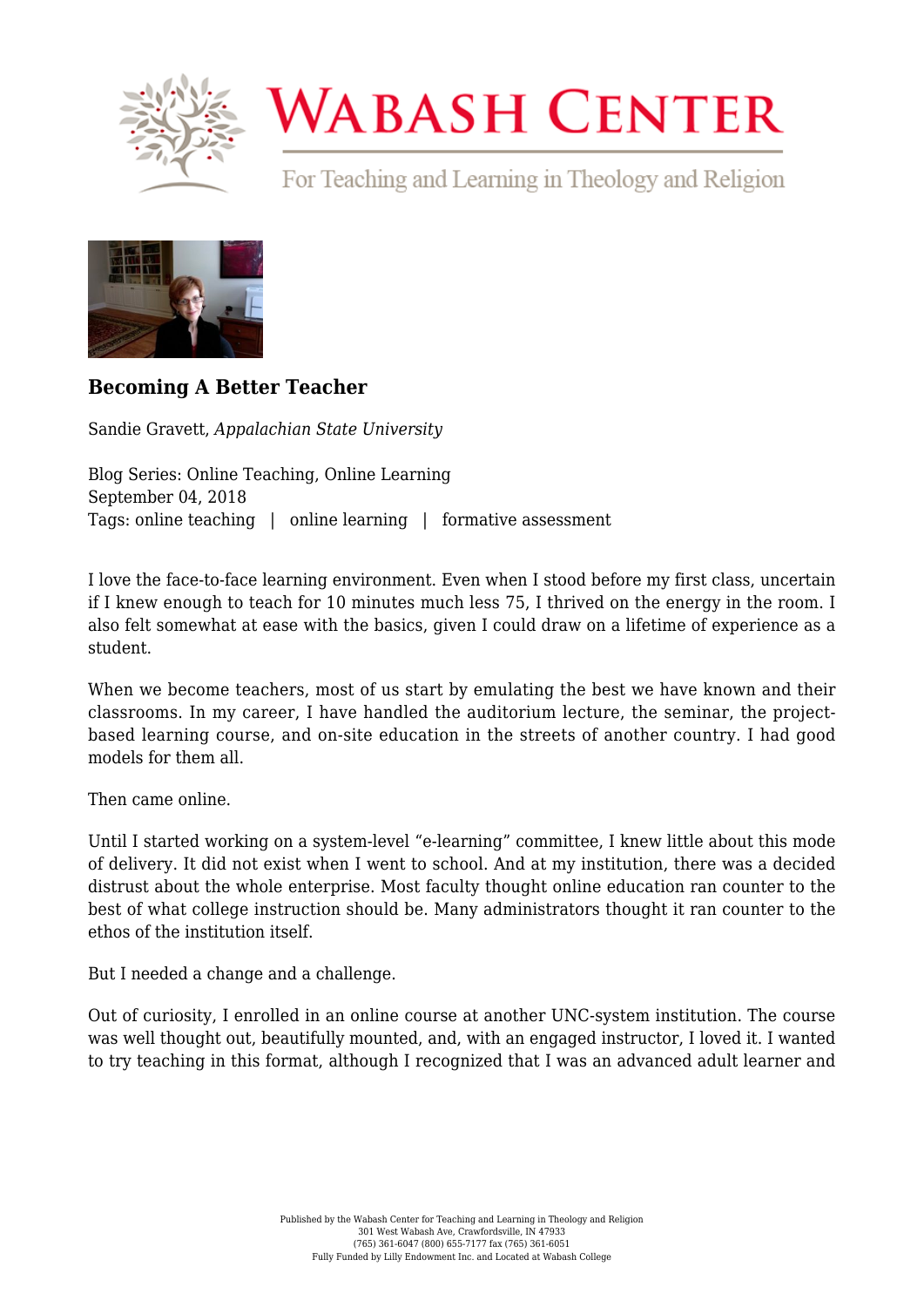

## **WABASH CENTER**

For Teaching and Learning in Theology and Religion



## **[Becoming A Better Teacher](https://www.wabashcenter.wabash.edu/2018/09/becoming-a-better-teacher/)**

Sandie Gravett, *Appalachian State University*

Blog Series: Online Teaching, Online Learning September 04, 2018 Tags: online teaching | online learning | formative assessment

I love the face-to-face learning environment. Even when I stood before my first class, uncertain if I knew enough to teach for 10 minutes much less 75, I thrived on the energy in the room. I also felt somewhat at ease with the basics, given I could draw on a lifetime of experience as a student.

When we become teachers, most of us start by emulating the best we have known and their classrooms. In my career, I have handled the auditorium lecture, the seminar, the projectbased learning course, and on-site education in the streets of another country. I had good models for them all.

Then came online.

Until I started working on a system-level "e-learning" committee, I knew little about this mode of delivery. It did not exist when I went to school. And at my institution, there was a decided distrust about the whole enterprise. Most faculty thought online education ran counter to the best of what college instruction should be. Many administrators thought it ran counter to the ethos of the institution itself.

But I needed a change and a challenge.

Out of curiosity, I enrolled in an online course at another UNC-system institution. The course was well thought out, beautifully mounted, and, with an engaged instructor, I loved it. I wanted to try teaching in this format, although I recognized that I was an advanced adult learner and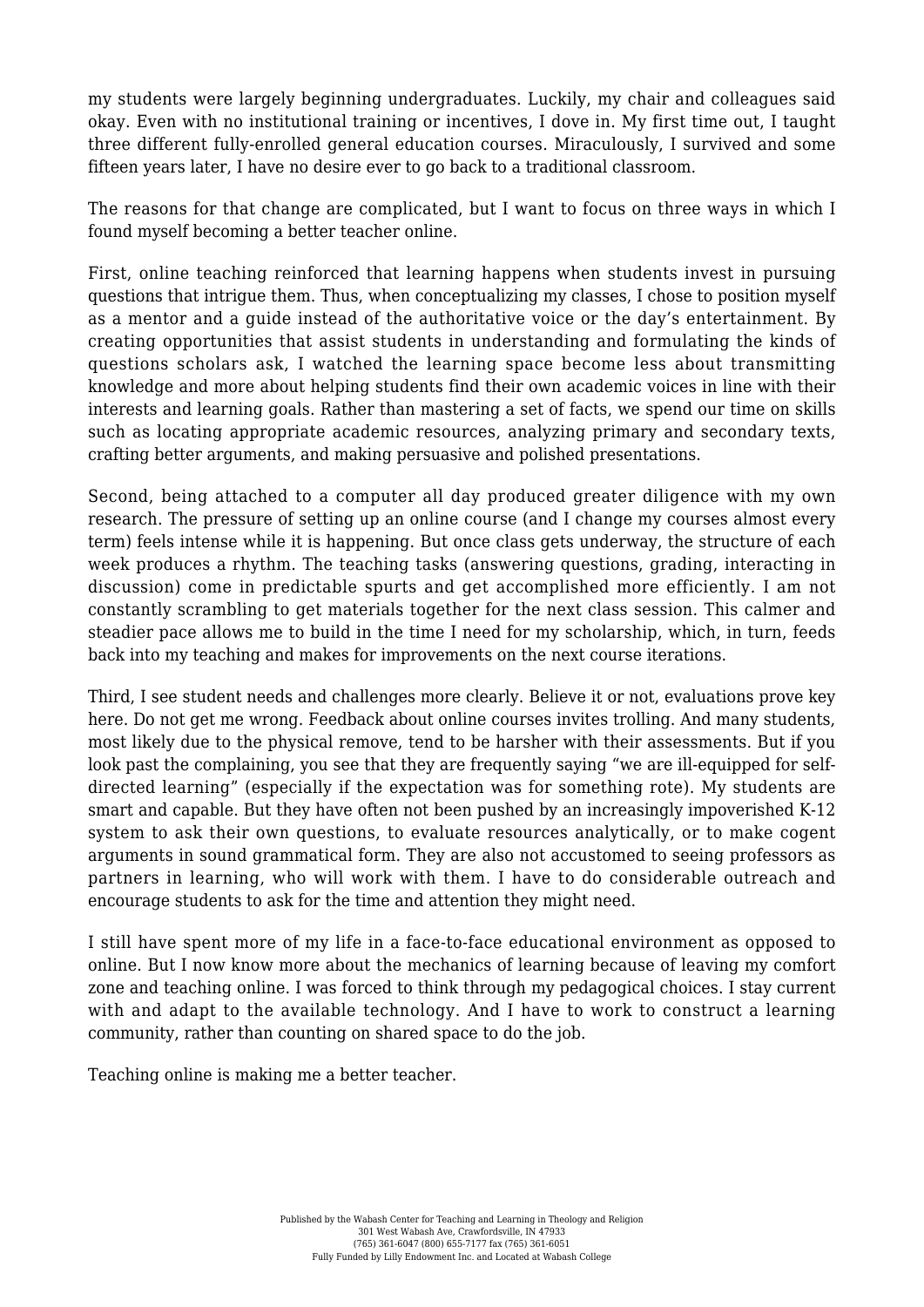my students were largely beginning undergraduates. Luckily, my chair and colleagues said okay. Even with no institutional training or incentives, I dove in. My first time out, I taught three different fully-enrolled general education courses. Miraculously, I survived and some fifteen years later, I have no desire ever to go back to a traditional classroom.

The reasons for that change are complicated, but I want to focus on three ways in which I found myself becoming a better teacher online.

First, online teaching reinforced that learning happens when students invest in pursuing questions that intrigue them. Thus, when conceptualizing my classes, I chose to position myself as a mentor and a guide instead of the authoritative voice or the day's entertainment. By creating opportunities that assist students in understanding and formulating the kinds of questions scholars ask, I watched the learning space become less about transmitting knowledge and more about helping students find their own academic voices in line with their interests and learning goals. Rather than mastering a set of facts, we spend our time on skills such as locating appropriate academic resources, analyzing primary and secondary texts, crafting better arguments, and making persuasive and polished presentations.

Second, being attached to a computer all day produced greater diligence with my own research. The pressure of setting up an online course (and I change my courses almost every term) feels intense while it is happening. But once class gets underway, the structure of each week produces a rhythm. The teaching tasks (answering questions, grading, interacting in discussion) come in predictable spurts and get accomplished more efficiently. I am not constantly scrambling to get materials together for the next class session. This calmer and steadier pace allows me to build in the time I need for my scholarship, which, in turn, feeds back into my teaching and makes for improvements on the next course iterations.

Third, I see student needs and challenges more clearly. Believe it or not, evaluations prove key here. Do not get me wrong. Feedback about online courses invites trolling. And many students, most likely due to the physical remove, tend to be harsher with their assessments. But if you look past the complaining, you see that they are frequently saying "we are ill-equipped for selfdirected learning" (especially if the expectation was for something rote). My students are smart and capable. But they have often not been pushed by an increasingly impoverished K-12 system to ask their own questions, to evaluate resources analytically, or to make cogent arguments in sound grammatical form. They are also not accustomed to seeing professors as partners in learning, who will work with them. I have to do considerable outreach and encourage students to ask for the time and attention they might need.

I still have spent more of my life in a face-to-face educational environment as opposed to online. But I now know more about the mechanics of learning because of leaving my comfort zone and teaching online. I was forced to think through my pedagogical choices. I stay current with and adapt to the available technology. And I have to work to construct a learning community, rather than counting on shared space to do the job.

Teaching online is making me a better teacher.